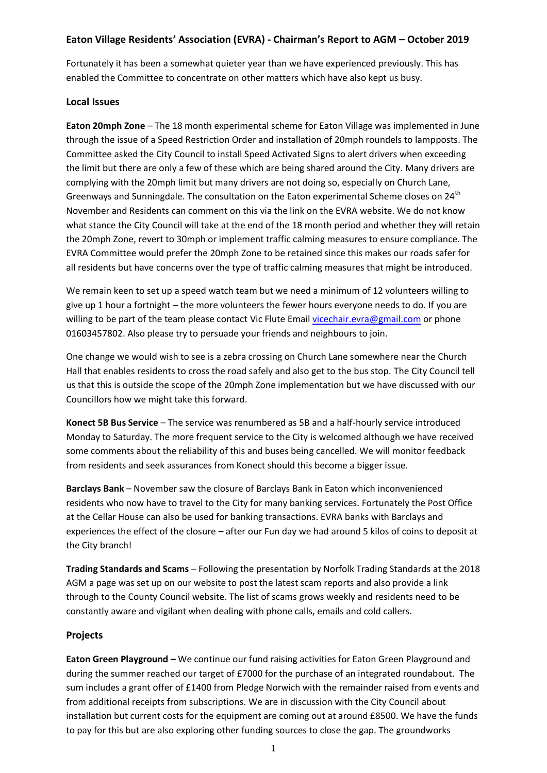# **Eaton Village Residents' Association (EVRA) - Chairman's Report to AGM – October 2019**

Fortunately it has been a somewhat quieter year than we have experienced previously. This has enabled the Committee to concentrate on other matters which have also kept us busy.

### **Local Issues**

**Eaton 20mph Zone** – The 18 month experimental scheme for Eaton Village was implemented in June through the issue of a Speed Restriction Order and installation of 20mph roundels to lampposts. The Committee asked the City Council to install Speed Activated Signs to alert drivers when exceeding the limit but there are only a few of these which are being shared around the City. Many drivers are complying with the 20mph limit but many drivers are not doing so, especially on Church Lane, Greenways and Sunningdale. The consultation on the Eaton experimental Scheme closes on 24<sup>th</sup> November and Residents can comment on this via the link on the EVRA website. We do not know what stance the City Council will take at the end of the 18 month period and whether they will retain the 20mph Zone, revert to 30mph or implement traffic calming measures to ensure compliance. The EVRA Committee would prefer the 20mph Zone to be retained since this makes our roads safer for all residents but have concerns over the type of traffic calming measures that might be introduced.

We remain keen to set up a speed watch team but we need a minimum of 12 volunteers willing to give up 1 hour a fortnight – the more volunteers the fewer hours everyone needs to do. If you are willing to be part of the team please contact Vic Flute Email [vicechair.evra@gmail.com](mailto:vicechair.evra@gmail.com) or phone 01603457802. Also please try to persuade your friends and neighbours to join.

One change we would wish to see is a zebra crossing on Church Lane somewhere near the Church Hall that enables residents to cross the road safely and also get to the bus stop. The City Council tell us that this is outside the scope of the 20mph Zone implementation but we have discussed with our Councillors how we might take this forward.

**Konect 5B Bus Service** – The service was renumbered as 5B and a half-hourly service introduced Monday to Saturday. The more frequent service to the City is welcomed although we have received some comments about the reliability of this and buses being cancelled. We will monitor feedback from residents and seek assurances from Konect should this become a bigger issue.

**Barclays Bank** – November saw the closure of Barclays Bank in Eaton which inconvenienced residents who now have to travel to the City for many banking services. Fortunately the Post Office at the Cellar House can also be used for banking transactions. EVRA banks with Barclays and experiences the effect of the closure – after our Fun day we had around 5 kilos of coins to deposit at the City branch!

**Trading Standards and Scams** – Following the presentation by Norfolk Trading Standards at the 2018 AGM a page was set up on our website to post the latest scam reports and also provide a link through to the County Council website. The list of scams grows weekly and residents need to be constantly aware and vigilant when dealing with phone calls, emails and cold callers.

# **Projects**

**Eaton Green Playground –** We continue our fund raising activities for Eaton Green Playground and during the summer reached our target of £7000 for the purchase of an integrated roundabout. The sum includes a grant offer of £1400 from Pledge Norwich with the remainder raised from events and from additional receipts from subscriptions. We are in discussion with the City Council about installation but current costs for the equipment are coming out at around £8500. We have the funds to pay for this but are also exploring other funding sources to close the gap. The groundworks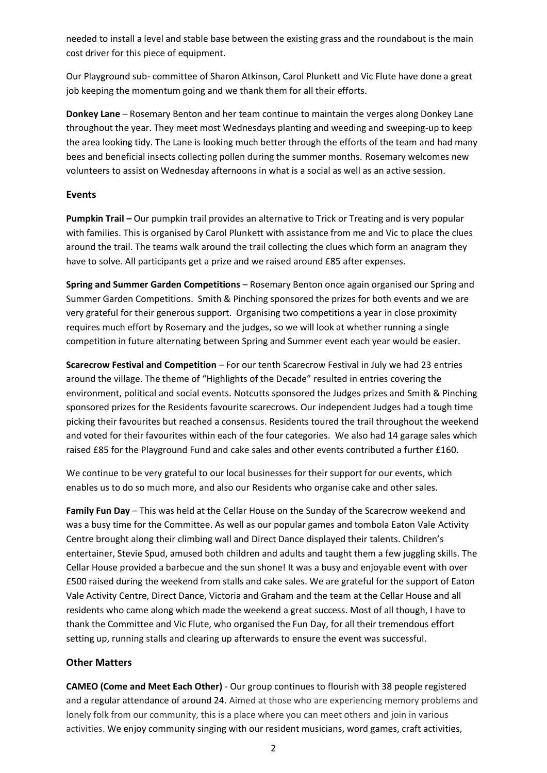needed to install a level and stable base between the existing grass and the roundabout is the main cost driver for this piece of equipment.

Our Playground sub- committee of Sharon Atkinson, Carol Plunkett and Vic Flute have done a great job keeping the momentum going and we thank them for all their efforts.

**Donkey Lane** – Rosemary Benton and her team continue to maintain the verges along Donkey Lane throughout the year. They meet most Wednesdays planting and weeding and sweeping-up to keep the area looking tidy. The Lane is looking much better through the efforts of the team and had many bees and beneficial insects collecting pollen during the summer months. Rosemary welcomes new volunteers to assist on Wednesday afternoons in what is a social as well as an active session.

### **Events**

**Pumpkin Trail –** Our pumpkin trail provides an alternative to Trick or Treating and is very popular with families. This is organised by Carol Plunkett with assistance from me and Vic to place the clues around the trail. The teams walk around the trail collecting the clues which form an anagram they have to solve. All participants get a prize and we raised around £85 after expenses.

**Spring and Summer Garden Competitions** – Rosemary Benton once again organised our Spring and Summer Garden Competitions. Smith & Pinching sponsored the prizes for both events and we are very grateful for their generous support. Organising two competitions a year in close proximity requires much effort by Rosemary and the judges, so we will look at whether running a single competition in future alternating between Spring and Summer event each year would be easier.

**Scarecrow Festival and Competition** – For our tenth Scarecrow Festival in July we had 23 entries around the village. The theme of "Highlights of the Decade" resulted in entries covering the environment, political and social events. Notcutts sponsored the Judges prizes and Smith & Pinching sponsored prizes for the Residents favourite scarecrows. Our independent Judges had a tough time picking their favourites but reached a consensus. Residents toured the trail throughout the weekend and voted for their favourites within each of the four categories. We also had 14 garage sales which raised £85 for the Playground Fund and cake sales and other events contributed a further £160.

We continue to be very grateful to our local businesses for their support for our events, which enables us to do so much more, and also our Residents who organise cake and other sales.

**Family Fun Day** – This was held at the Cellar House on the Sunday of the Scarecrow weekend and was a busy time for the Committee. As well as our popular games and tombola Eaton Vale Activity Centre brought along their climbing wall and Direct Dance displayed their talents. Children's entertainer, Stevie Spud, amused both children and adults and taught them a few juggling skills. The Cellar House provided a barbecue and the sun shone! It was a busy and enjoyable event with over £500 raised during the weekend from stalls and cake sales. We are grateful for the support of Eaton Vale Activity Centre, Direct Dance, Victoria and Graham and the team at the Cellar House and all residents who came along which made the weekend a great success. Most of all though, I have to thank the Committee and Vic Flute, who organised the Fun Day, for all their tremendous effort setting up, running stalls and clearing up afterwards to ensure the event was successful.

# **Other Matters**

**CAMEO (Come and Meet Each Other)** - Our group continues to flourish with 38 people registered and a regular attendance of around 24. Aimed at those who are experiencing memory problems and lonely folk from our community, this is a place where you can meet others and join in various activities. We enjoy community singing with our resident musicians, word games, craft activities,